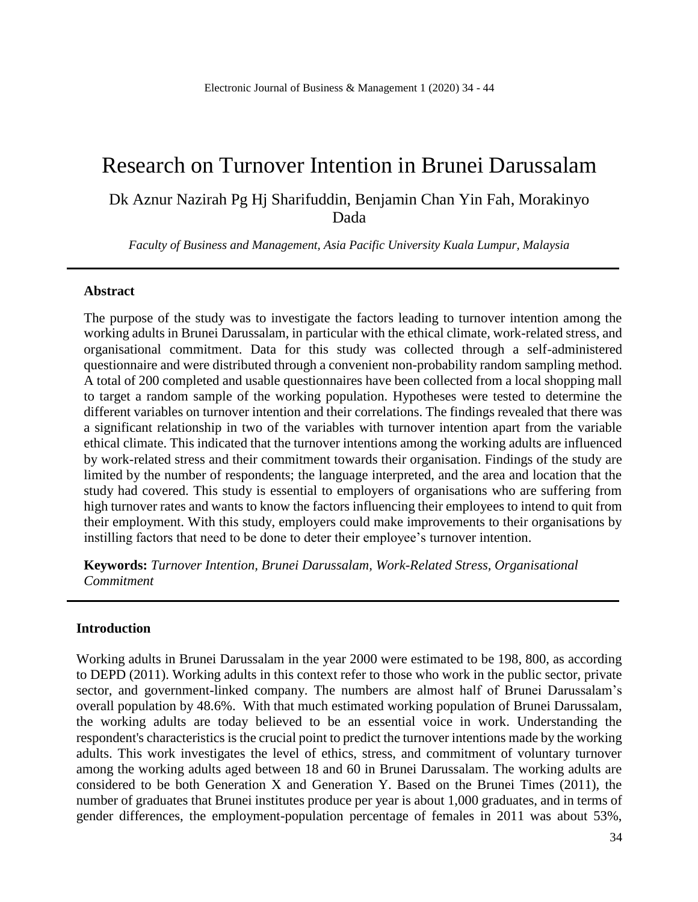# Research on Turnover Intention in Brunei Darussalam

Dk Aznur Nazirah Pg Hj Sharifuddin, Benjamin Chan Yin Fah, Morakinyo Dada

*Faculty of Business and Management, Asia Pacific University Kuala Lumpur, Malaysia*

#### **Abstract**

The purpose of the study was to investigate the factors leading to turnover intention among the working adults in Brunei Darussalam, in particular with the ethical climate, work-related stress, and organisational commitment. Data for this study was collected through a self-administered questionnaire and were distributed through a convenient non-probability random sampling method. A total of 200 completed and usable questionnaires have been collected from a local shopping mall to target a random sample of the working population. Hypotheses were tested to determine the different variables on turnover intention and their correlations. The findings revealed that there was a significant relationship in two of the variables with turnover intention apart from the variable ethical climate. This indicated that the turnover intentions among the working adults are influenced by work-related stress and their commitment towards their organisation. Findings of the study are limited by the number of respondents; the language interpreted, and the area and location that the study had covered. This study is essential to employers of organisations who are suffering from high turnover rates and wants to know the factors influencing their employees to intend to quit from their employment. With this study, employers could make improvements to their organisations by instilling factors that need to be done to deter their employee's turnover intention.

**Keywords:** *Turnover Intention, Brunei Darussalam, Work-Related Stress, Organisational Commitment* 

#### **Introduction**

Working adults in Brunei Darussalam in the year 2000 were estimated to be 198, 800, as according to DEPD (2011). Working adults in this context refer to those who work in the public sector, private sector, and government-linked company. The numbers are almost half of Brunei Darussalam's overall population by 48.6%. With that much estimated working population of Brunei Darussalam, the working adults are today believed to be an essential voice in work. Understanding the respondent's characteristics is the crucial point to predict the turnover intentions made by the working adults. This work investigates the level of ethics, stress, and commitment of voluntary turnover among the working adults aged between 18 and 60 in Brunei Darussalam. The working adults are considered to be both Generation X and Generation Y. Based on the Brunei Times (2011), the number of graduates that Brunei institutes produce per year is about 1,000 graduates, and in terms of gender differences, the employment-population percentage of females in 2011 was about 53%,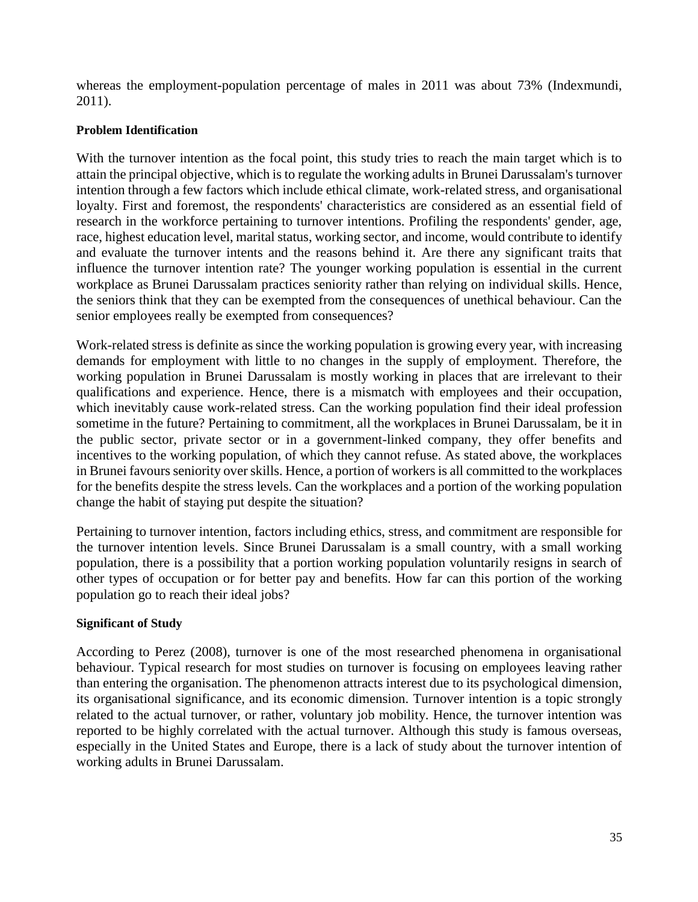whereas the employment-population percentage of males in 2011 was about 73% (Indexmundi, 2011).

#### **Problem Identification**

With the turnover intention as the focal point, this study tries to reach the main target which is to attain the principal objective, which is to regulate the working adults in Brunei Darussalam's turnover intention through a few factors which include ethical climate, work-related stress, and organisational loyalty. First and foremost, the respondents' characteristics are considered as an essential field of research in the workforce pertaining to turnover intentions. Profiling the respondents' gender, age, race, highest education level, marital status, working sector, and income, would contribute to identify and evaluate the turnover intents and the reasons behind it. Are there any significant traits that influence the turnover intention rate? The younger working population is essential in the current workplace as Brunei Darussalam practices seniority rather than relying on individual skills. Hence, the seniors think that they can be exempted from the consequences of unethical behaviour. Can the senior employees really be exempted from consequences?

Work-related stress is definite as since the working population is growing every year, with increasing demands for employment with little to no changes in the supply of employment. Therefore, the working population in Brunei Darussalam is mostly working in places that are irrelevant to their qualifications and experience. Hence, there is a mismatch with employees and their occupation, which inevitably cause work-related stress. Can the working population find their ideal profession sometime in the future? Pertaining to commitment, all the workplaces in Brunei Darussalam, be it in the public sector, private sector or in a government-linked company, they offer benefits and incentives to the working population, of which they cannot refuse. As stated above, the workplaces in Brunei favours seniority over skills. Hence, a portion of workers is all committed to the workplaces for the benefits despite the stress levels. Can the workplaces and a portion of the working population change the habit of staying put despite the situation?

Pertaining to turnover intention, factors including ethics, stress, and commitment are responsible for the turnover intention levels. Since Brunei Darussalam is a small country, with a small working population, there is a possibility that a portion working population voluntarily resigns in search of other types of occupation or for better pay and benefits. How far can this portion of the working population go to reach their ideal jobs?

#### **Significant of Study**

According to Perez (2008), turnover is one of the most researched phenomena in organisational behaviour. Typical research for most studies on turnover is focusing on employees leaving rather than entering the organisation. The phenomenon attracts interest due to its psychological dimension, its organisational significance, and its economic dimension. Turnover intention is a topic strongly related to the actual turnover, or rather, voluntary job mobility. Hence, the turnover intention was reported to be highly correlated with the actual turnover. Although this study is famous overseas, especially in the United States and Europe, there is a lack of study about the turnover intention of working adults in Brunei Darussalam.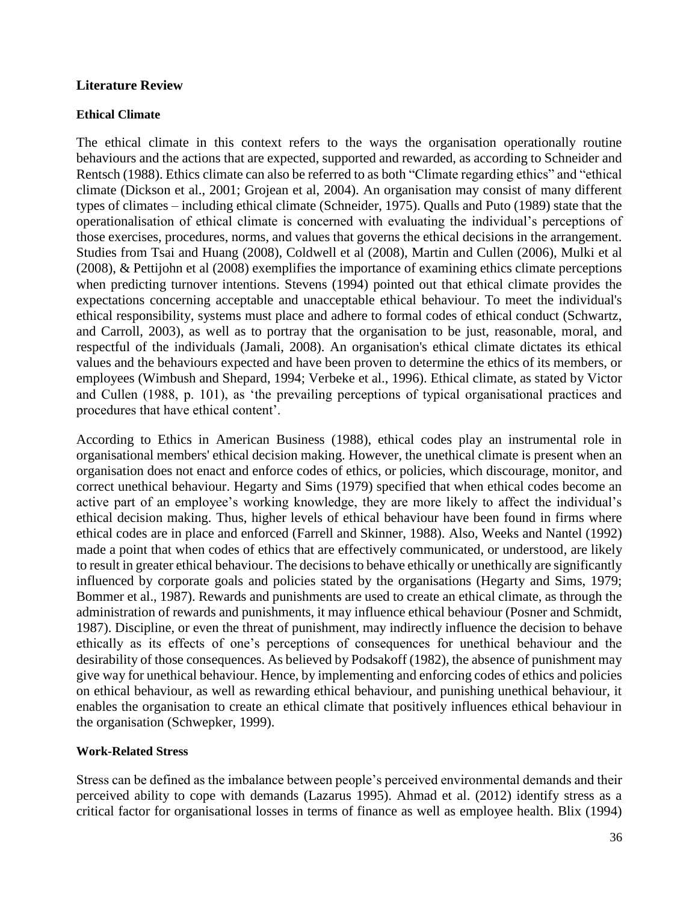#### **Literature Review**

#### **Ethical Climate**

The ethical climate in this context refers to the ways the organisation operationally routine behaviours and the actions that are expected, supported and rewarded, as according to Schneider and Rentsch (1988). Ethics climate can also be referred to as both "Climate regarding ethics" and "ethical climate (Dickson et al., 2001; Grojean et al, 2004). An organisation may consist of many different types of climates – including ethical climate (Schneider, 1975). Qualls and Puto (1989) state that the operationalisation of ethical climate is concerned with evaluating the individual's perceptions of those exercises, procedures, norms, and values that governs the ethical decisions in the arrangement. Studies from Tsai and Huang (2008), Coldwell et al (2008), Martin and Cullen (2006), Mulki et al (2008), & Pettijohn et al (2008) exemplifies the importance of examining ethics climate perceptions when predicting turnover intentions. Stevens (1994) pointed out that ethical climate provides the expectations concerning acceptable and unacceptable ethical behaviour. To meet the individual's ethical responsibility, systems must place and adhere to formal codes of ethical conduct (Schwartz, and Carroll, 2003), as well as to portray that the organisation to be just, reasonable, moral, and respectful of the individuals (Jamali, 2008). An organisation's ethical climate dictates its ethical values and the behaviours expected and have been proven to determine the ethics of its members, or employees (Wimbush and Shepard, 1994; Verbeke et al., 1996). Ethical climate, as stated by Victor and Cullen (1988, p. 101), as 'the prevailing perceptions of typical organisational practices and procedures that have ethical content'.

According to Ethics in American Business (1988), ethical codes play an instrumental role in organisational members' ethical decision making. However, the unethical climate is present when an organisation does not enact and enforce codes of ethics, or policies, which discourage, monitor, and correct unethical behaviour. Hegarty and Sims (1979) specified that when ethical codes become an active part of an employee's working knowledge, they are more likely to affect the individual's ethical decision making. Thus, higher levels of ethical behaviour have been found in firms where ethical codes are in place and enforced (Farrell and Skinner, 1988). Also, Weeks and Nantel (1992) made a point that when codes of ethics that are effectively communicated, or understood, are likely to result in greater ethical behaviour. The decisions to behave ethically or unethically are significantly influenced by corporate goals and policies stated by the organisations (Hegarty and Sims, 1979; Bommer et al., 1987). Rewards and punishments are used to create an ethical climate, as through the administration of rewards and punishments, it may influence ethical behaviour (Posner and Schmidt, 1987). Discipline, or even the threat of punishment, may indirectly influence the decision to behave ethically as its effects of one's perceptions of consequences for unethical behaviour and the desirability of those consequences. As believed by Podsakoff (1982), the absence of punishment may give way for unethical behaviour. Hence, by implementing and enforcing codes of ethics and policies on ethical behaviour, as well as rewarding ethical behaviour, and punishing unethical behaviour, it enables the organisation to create an ethical climate that positively influences ethical behaviour in the organisation (Schwepker, 1999).

#### **Work-Related Stress**

Stress can be defined as the imbalance between people's perceived environmental demands and their perceived ability to cope with demands (Lazarus 1995). Ahmad et al. (2012) identify stress as a critical factor for organisational losses in terms of finance as well as employee health. Blix (1994)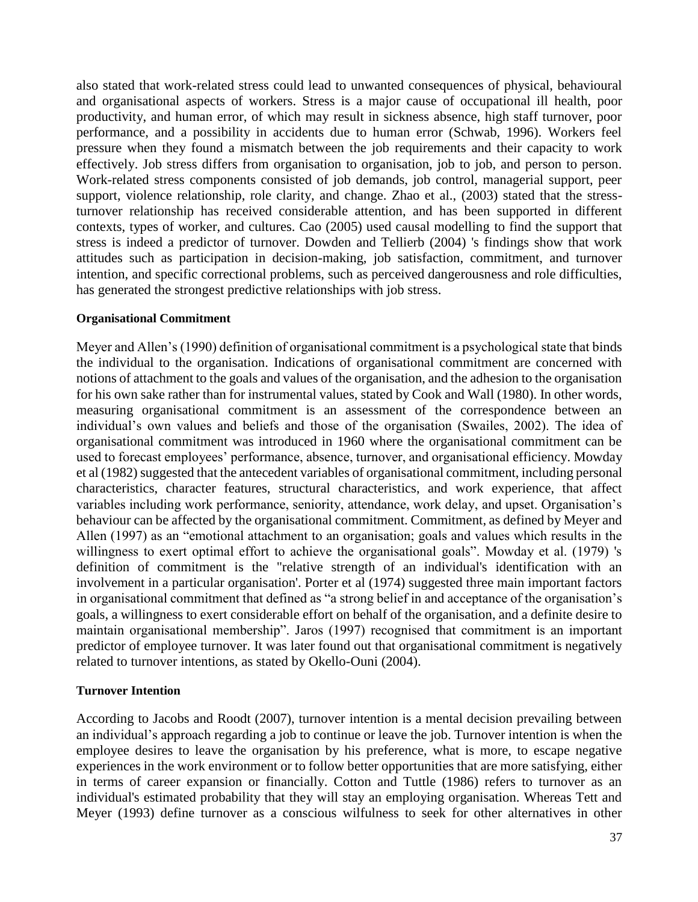also stated that work-related stress could lead to unwanted consequences of physical, behavioural and organisational aspects of workers. Stress is a major cause of occupational ill health, poor productivity, and human error, of which may result in sickness absence, high staff turnover, poor performance, and a possibility in accidents due to human error (Schwab, 1996). Workers feel pressure when they found a mismatch between the job requirements and their capacity to work effectively. Job stress differs from organisation to organisation, job to job, and person to person. Work-related stress components consisted of job demands, job control, managerial support, peer support, violence relationship, role clarity, and change. Zhao et al., (2003) stated that the stressturnover relationship has received considerable attention, and has been supported in different contexts, types of worker, and cultures. Cao (2005) used causal modelling to find the support that stress is indeed a predictor of turnover. Dowden and Tellierb (2004) 's findings show that work attitudes such as participation in decision-making, job satisfaction, commitment, and turnover intention, and specific correctional problems, such as perceived dangerousness and role difficulties, has generated the strongest predictive relationships with job stress.

#### **Organisational Commitment**

Meyer and Allen's (1990) definition of organisational commitment is a psychological state that binds the individual to the organisation. Indications of organisational commitment are concerned with notions of attachment to the goals and values of the organisation, and the adhesion to the organisation for his own sake rather than for instrumental values, stated by Cook and Wall (1980). In other words, measuring organisational commitment is an assessment of the correspondence between an individual's own values and beliefs and those of the organisation (Swailes, 2002). The idea of organisational commitment was introduced in 1960 where the organisational commitment can be used to forecast employees' performance, absence, turnover, and organisational efficiency. Mowday et al (1982) suggested that the antecedent variables of organisational commitment, including personal characteristics, character features, structural characteristics, and work experience, that affect variables including work performance, seniority, attendance, work delay, and upset. Organisation's behaviour can be affected by the organisational commitment. Commitment, as defined by Meyer and Allen (1997) as an "emotional attachment to an organisation; goals and values which results in the willingness to exert optimal effort to achieve the organisational goals". Mowday et al. (1979) 's definition of commitment is the "relative strength of an individual's identification with an involvement in a particular organisation'. Porter et al (1974) suggested three main important factors in organisational commitment that defined as "a strong belief in and acceptance of the organisation's goals, a willingness to exert considerable effort on behalf of the organisation, and a definite desire to maintain organisational membership". Jaros (1997) recognised that commitment is an important predictor of employee turnover. It was later found out that organisational commitment is negatively related to turnover intentions, as stated by Okello-Ouni (2004).

#### **Turnover Intention**

According to Jacobs and Roodt (2007), turnover intention is a mental decision prevailing between an individual's approach regarding a job to continue or leave the job. Turnover intention is when the employee desires to leave the organisation by his preference, what is more, to escape negative experiences in the work environment or to follow better opportunities that are more satisfying, either in terms of career expansion or financially. Cotton and Tuttle (1986) refers to turnover as an individual's estimated probability that they will stay an employing organisation. Whereas Tett and Meyer (1993) define turnover as a conscious wilfulness to seek for other alternatives in other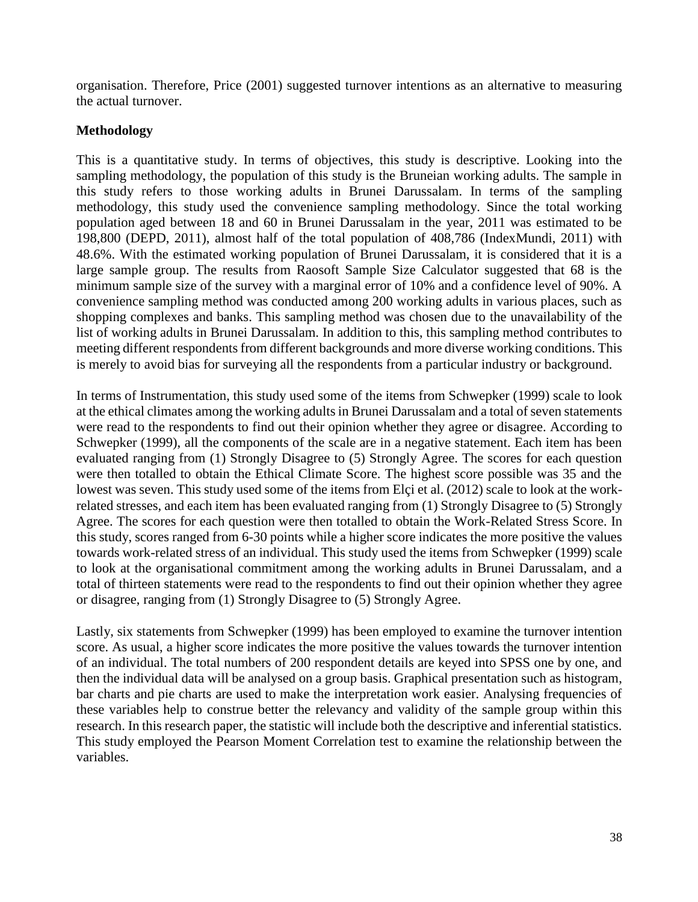organisation. Therefore, Price (2001) suggested turnover intentions as an alternative to measuring the actual turnover.

## **Methodology**

This is a quantitative study. In terms of objectives, this study is descriptive. Looking into the sampling methodology, the population of this study is the Bruneian working adults. The sample in this study refers to those working adults in Brunei Darussalam. In terms of the sampling methodology, this study used the convenience sampling methodology. Since the total working population aged between 18 and 60 in Brunei Darussalam in the year, 2011 was estimated to be 198,800 (DEPD, 2011), almost half of the total population of 408,786 (IndexMundi, 2011) with 48.6%. With the estimated working population of Brunei Darussalam, it is considered that it is a large sample group. The results from Raosoft Sample Size Calculator suggested that 68 is the minimum sample size of the survey with a marginal error of 10% and a confidence level of 90%. A convenience sampling method was conducted among 200 working adults in various places, such as shopping complexes and banks. This sampling method was chosen due to the unavailability of the list of working adults in Brunei Darussalam. In addition to this, this sampling method contributes to meeting different respondents from different backgrounds and more diverse working conditions. This is merely to avoid bias for surveying all the respondents from a particular industry or background.

In terms of Instrumentation, this study used some of the items from Schwepker (1999) scale to look at the ethical climates among the working adults in Brunei Darussalam and a total of seven statements were read to the respondents to find out their opinion whether they agree or disagree. According to Schwepker (1999), all the components of the scale are in a negative statement. Each item has been evaluated ranging from (1) Strongly Disagree to (5) Strongly Agree. The scores for each question were then totalled to obtain the Ethical Climate Score. The highest score possible was 35 and the lowest was seven. This study used some of the items from Elçi et al. (2012) scale to look at the workrelated stresses, and each item has been evaluated ranging from (1) Strongly Disagree to (5) Strongly Agree. The scores for each question were then totalled to obtain the Work-Related Stress Score. In this study, scores ranged from 6-30 points while a higher score indicates the more positive the values towards work-related stress of an individual. This study used the items from Schwepker (1999) scale to look at the organisational commitment among the working adults in Brunei Darussalam, and a total of thirteen statements were read to the respondents to find out their opinion whether they agree or disagree, ranging from (1) Strongly Disagree to (5) Strongly Agree.

Lastly, six statements from Schwepker (1999) has been employed to examine the turnover intention score. As usual, a higher score indicates the more positive the values towards the turnover intention of an individual. The total numbers of 200 respondent details are keyed into SPSS one by one, and then the individual data will be analysed on a group basis. Graphical presentation such as histogram, bar charts and pie charts are used to make the interpretation work easier. Analysing frequencies of these variables help to construe better the relevancy and validity of the sample group within this research. In this research paper, the statistic will include both the descriptive and inferential statistics. This study employed the Pearson Moment Correlation test to examine the relationship between the variables.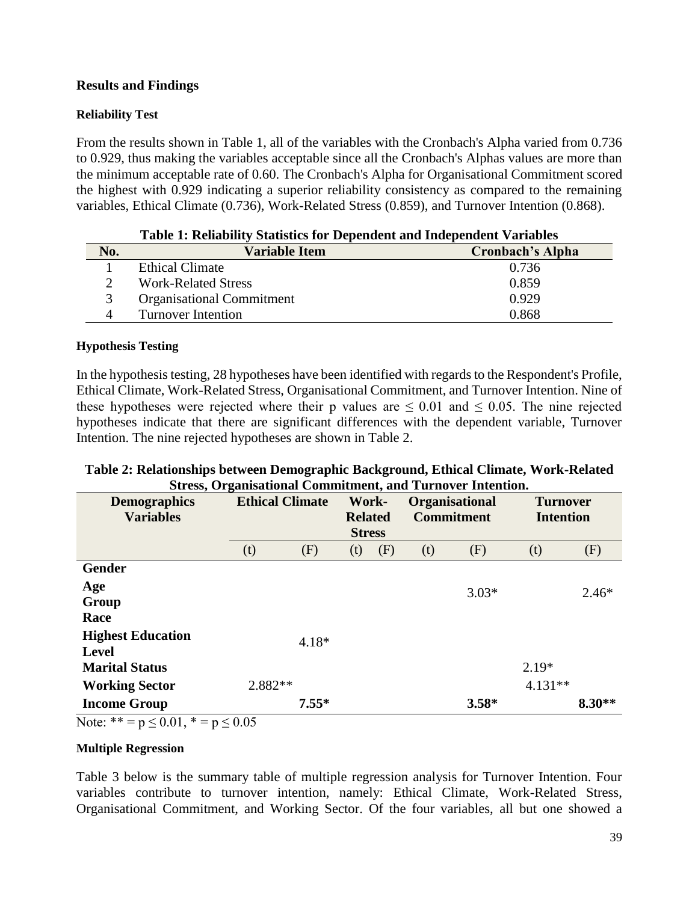## **Results and Findings**

#### **Reliability Test**

From the results shown in Table 1, all of the variables with the Cronbach's Alpha varied from 0.736 to 0.929, thus making the variables acceptable since all the Cronbach's Alphas values are more than the minimum acceptable rate of 0.60. The Cronbach's Alpha for Organisational Commitment scored the highest with 0.929 indicating a superior reliability consistency as compared to the remaining variables, Ethical Climate (0.736), Work-Related Stress (0.859), and Turnover Intention (0.868).

| Table 1: Reliability Statistics for Dependent and Independent Variables |                         |  |  |  |  |  |
|-------------------------------------------------------------------------|-------------------------|--|--|--|--|--|
| <b>Variable Item</b>                                                    | <b>Cronbach's Alpha</b> |  |  |  |  |  |
| Ethical Climate                                                         | 0.736                   |  |  |  |  |  |
| <b>Work-Related Stress</b>                                              | 0.859                   |  |  |  |  |  |
| <b>Organisational Commitment</b>                                        | 0.929                   |  |  |  |  |  |
| <b>Turnover Intention</b>                                               | 0.868                   |  |  |  |  |  |
|                                                                         |                         |  |  |  |  |  |

## **Table 1: Reliability Statistics for Dependent and Independent Variables**

#### **Hypothesis Testing**

In the hypothesis testing, 28 hypotheses have been identified with regards to the Respondent's Profile, Ethical Climate, Work-Related Stress, Organisational Commitment, and Turnover Intention. Nine of these hypotheses were rejected where their p values are  $\leq 0.01$  and  $\leq 0.05$ . The nine rejected hypotheses indicate that there are significant differences with the dependent variable, Turnover Intention. The nine rejected hypotheses are shown in Table 2.

### **Table 2: Relationships between Demographic Background, Ethical Climate, Work-Related Stress, Organisational Commitment, and Turnover Intention.**

| <b>Demographics</b><br><b>Variables</b>  | <b>Ethical Climate</b> |         | Work-<br><b>Related</b><br><b>Stress</b> |     | <b>Organisational</b><br><b>Commitment</b> |         | <b>Turnover</b><br><b>Intention</b> |          |
|------------------------------------------|------------------------|---------|------------------------------------------|-----|--------------------------------------------|---------|-------------------------------------|----------|
|                                          | (t)                    | (F)     | (t)                                      | (F) | (t)                                        | (F)     | (t)                                 | (F)      |
| <b>Gender</b>                            |                        |         |                                          |     |                                            |         |                                     |          |
| Age<br>Group<br>Race                     |                        |         |                                          |     |                                            | $3.03*$ |                                     | $2.46*$  |
| <b>Highest Education</b><br><b>Level</b> |                        | $4.18*$ |                                          |     |                                            |         |                                     |          |
| <b>Marital Status</b>                    |                        |         |                                          |     |                                            |         | $2.19*$                             |          |
| <b>Working Sector</b>                    | 2.882**                |         |                                          |     |                                            |         | $4.131**$                           |          |
| <b>Income Group</b>                      |                        | $7.55*$ |                                          |     |                                            | $3.58*$ |                                     | $8.30**$ |

Note:  $* = p \le 0.01$ ,  $* = p \le 0.05$ 

#### **Multiple Regression**

Table 3 below is the summary table of multiple regression analysis for Turnover Intention. Four variables contribute to turnover intention, namely: Ethical Climate, Work-Related Stress, Organisational Commitment, and Working Sector. Of the four variables, all but one showed a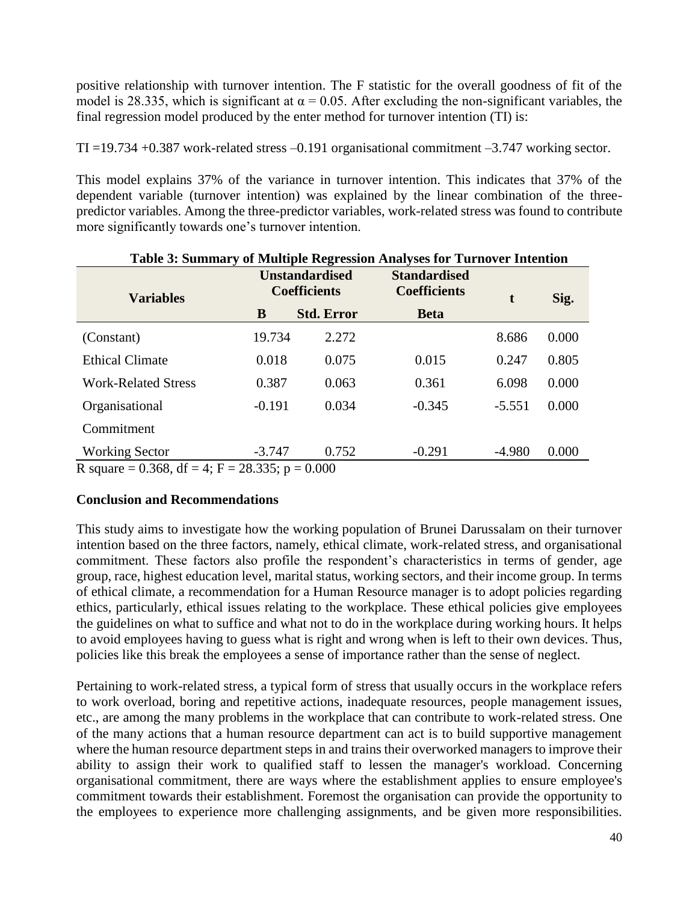positive relationship with turnover intention. The F statistic for the overall goodness of fit of the model is 28.335, which is significant at  $\alpha = 0.05$ . After excluding the non-significant variables, the final regression model produced by the enter method for turnover intention (TI) is:

TI =19.734 +0.387 work-related stress –0.191 organisational commitment –3.747 working sector.

This model explains 37% of the variance in turnover intention. This indicates that 37% of the dependent variable (turnover intention) was explained by the linear combination of the threepredictor variables. Among the three-predictor variables, work-related stress was found to contribute more significantly towards one's turnover intention.

| Table 3: Summary of Multiple Regression Analyses for Turnover Intention |          |                                              |                                            |          |       |  |  |  |
|-------------------------------------------------------------------------|----------|----------------------------------------------|--------------------------------------------|----------|-------|--|--|--|
| <b>Variables</b>                                                        |          | <b>Unstandardised</b><br><b>Coefficients</b> | <b>Standardised</b><br><b>Coefficients</b> | t        | Sig.  |  |  |  |
|                                                                         | B        | <b>Std. Error</b>                            | <b>Beta</b>                                |          |       |  |  |  |
| (Constant)                                                              | 19.734   | 2.272                                        |                                            | 8.686    | 0.000 |  |  |  |
| <b>Ethical Climate</b>                                                  | 0.018    | 0.075                                        | 0.015                                      | 0.247    | 0.805 |  |  |  |
| <b>Work-Related Stress</b>                                              | 0.387    | 0.063                                        | 0.361                                      | 6.098    | 0.000 |  |  |  |
| Organisational                                                          | $-0.191$ | 0.034                                        | $-0.345$                                   | $-5.551$ | 0.000 |  |  |  |
| Commitment                                                              |          |                                              |                                            |          |       |  |  |  |
| <b>Working Sector</b>                                                   | $-3.747$ | 0.752                                        | $-0.291$                                   | $-4.980$ | 0.000 |  |  |  |
| $R_{\text{scup}} = 0.268 \text{ df} - 4.51 - 29.225 \text{ m} - 0.000$  |          |                                              |                                            |          |       |  |  |  |

## R square = 0.368, df = 4; F = 28.335; p = 0.000

## **Conclusion and Recommendations**

This study aims to investigate how the working population of Brunei Darussalam on their turnover intention based on the three factors, namely, ethical climate, work-related stress, and organisational commitment. These factors also profile the respondent's characteristics in terms of gender, age group, race, highest education level, marital status, working sectors, and their income group. In terms of ethical climate, a recommendation for a Human Resource manager is to adopt policies regarding ethics, particularly, ethical issues relating to the workplace. These ethical policies give employees the guidelines on what to suffice and what not to do in the workplace during working hours. It helps to avoid employees having to guess what is right and wrong when is left to their own devices. Thus, policies like this break the employees a sense of importance rather than the sense of neglect.

Pertaining to work-related stress, a typical form of stress that usually occurs in the workplace refers to work overload, boring and repetitive actions, inadequate resources, people management issues, etc., are among the many problems in the workplace that can contribute to work-related stress. One of the many actions that a human resource department can act is to build supportive management where the human resource department steps in and trains their overworked managers to improve their ability to assign their work to qualified staff to lessen the manager's workload. Concerning organisational commitment, there are ways where the establishment applies to ensure employee's commitment towards their establishment. Foremost the organisation can provide the opportunity to the employees to experience more challenging assignments, and be given more responsibilities.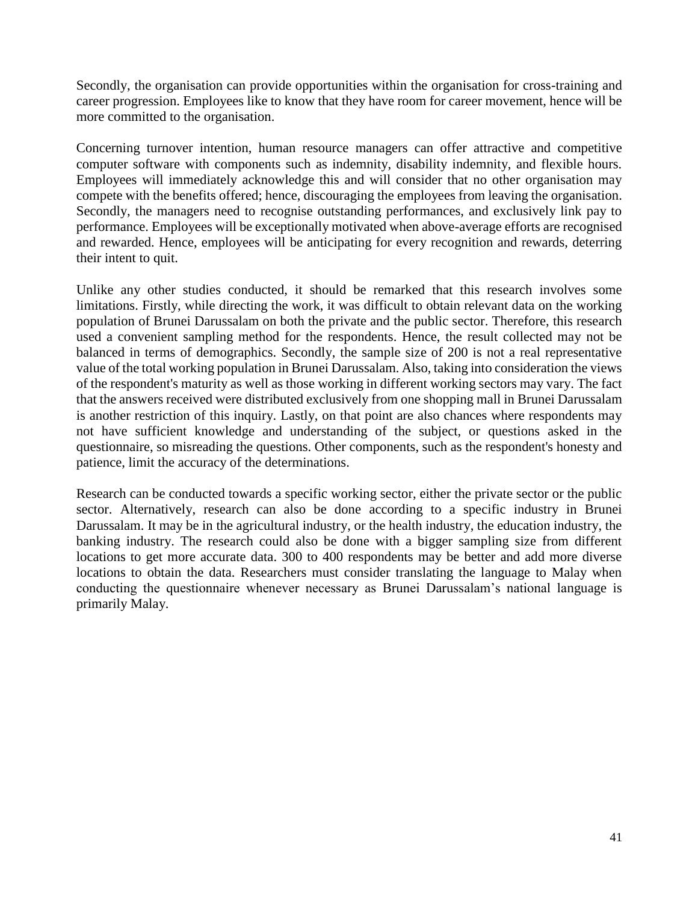Secondly, the organisation can provide opportunities within the organisation for cross-training and career progression. Employees like to know that they have room for career movement, hence will be more committed to the organisation.

Concerning turnover intention, human resource managers can offer attractive and competitive computer software with components such as indemnity, disability indemnity, and flexible hours. Employees will immediately acknowledge this and will consider that no other organisation may compete with the benefits offered; hence, discouraging the employees from leaving the organisation. Secondly, the managers need to recognise outstanding performances, and exclusively link pay to performance. Employees will be exceptionally motivated when above-average efforts are recognised and rewarded. Hence, employees will be anticipating for every recognition and rewards, deterring their intent to quit.

Unlike any other studies conducted, it should be remarked that this research involves some limitations. Firstly, while directing the work, it was difficult to obtain relevant data on the working population of Brunei Darussalam on both the private and the public sector. Therefore, this research used a convenient sampling method for the respondents. Hence, the result collected may not be balanced in terms of demographics. Secondly, the sample size of 200 is not a real representative value of the total working population in Brunei Darussalam. Also, taking into consideration the views of the respondent's maturity as well as those working in different working sectors may vary. The fact that the answers received were distributed exclusively from one shopping mall in Brunei Darussalam is another restriction of this inquiry. Lastly, on that point are also chances where respondents may not have sufficient knowledge and understanding of the subject, or questions asked in the questionnaire, so misreading the questions. Other components, such as the respondent's honesty and patience, limit the accuracy of the determinations.

Research can be conducted towards a specific working sector, either the private sector or the public sector. Alternatively, research can also be done according to a specific industry in Brunei Darussalam. It may be in the agricultural industry, or the health industry, the education industry, the banking industry. The research could also be done with a bigger sampling size from different locations to get more accurate data. 300 to 400 respondents may be better and add more diverse locations to obtain the data. Researchers must consider translating the language to Malay when conducting the questionnaire whenever necessary as Brunei Darussalam's national language is primarily Malay.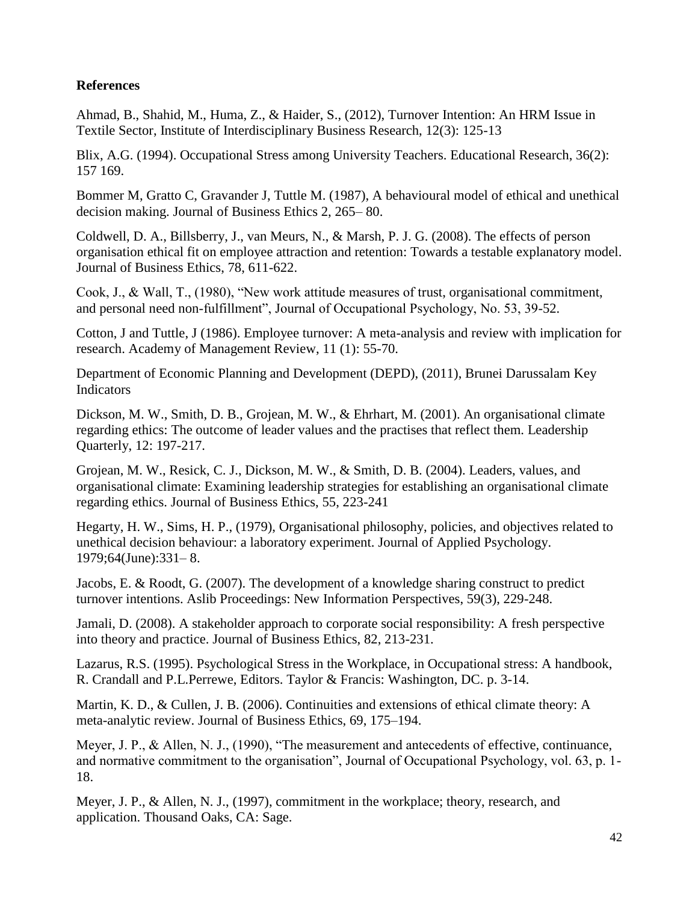## **References**

Ahmad, B., Shahid, M., Huma, Z., & Haider, S., (2012), Turnover Intention: An HRM Issue in Textile Sector, Institute of Interdisciplinary Business Research, 12(3): 125-13

Blix, A.G. (1994). Occupational Stress among University Teachers. Educational Research, 36(2): 157 169.

Bommer M, Gratto C, Gravander J, Tuttle M. (1987), A behavioural model of ethical and unethical decision making. Journal of Business Ethics 2, 265– 80.

Coldwell, D. A., Billsberry, J., van Meurs, N., & Marsh, P. J. G. (2008). The effects of person organisation ethical fit on employee attraction and retention: Towards a testable explanatory model. Journal of Business Ethics, 78, 611-622.

Cook, J., & Wall, T., (1980), "New work attitude measures of trust, organisational commitment, and personal need non-fulfillment", Journal of Occupational Psychology, No. 53, 39-52.

Cotton, J and Tuttle, J (1986). Employee turnover: A meta-analysis and review with implication for research. Academy of Management Review, 11 (1): 55-70.

Department of Economic Planning and Development (DEPD), (2011), Brunei Darussalam Key Indicators

Dickson, M. W., Smith, D. B., Grojean, M. W., & Ehrhart, M. (2001). An organisational climate regarding ethics: The outcome of leader values and the practises that reflect them. Leadership Quarterly, 12: 197-217.

Grojean, M. W., Resick, C. J., Dickson, M. W., & Smith, D. B. (2004). Leaders, values, and organisational climate: Examining leadership strategies for establishing an organisational climate regarding ethics. Journal of Business Ethics, 55, 223-241

Hegarty, H. W., Sims, H. P., (1979), Organisational philosophy, policies, and objectives related to unethical decision behaviour: a laboratory experiment. Journal of Applied Psychology. 1979;64(June):331– 8.

Jacobs, E. & Roodt, G. (2007). The development of a knowledge sharing construct to predict turnover intentions. Aslib Proceedings: New Information Perspectives, 59(3), 229-248.

Jamali, D. (2008). A stakeholder approach to corporate social responsibility: A fresh perspective into theory and practice. Journal of Business Ethics, 82, 213-231.

Lazarus, R.S. (1995). Psychological Stress in the Workplace, in Occupational stress: A handbook, R. Crandall and P.L.Perrewe, Editors. Taylor & Francis: Washington, DC. p. 3-14.

Martin, K. D., & Cullen, J. B. (2006). Continuities and extensions of ethical climate theory: A meta-analytic review. Journal of Business Ethics, 69, 175–194.

Meyer, J. P., & Allen, N. J., (1990), "The measurement and antecedents of effective, continuance, and normative commitment to the organisation", Journal of Occupational Psychology, vol. 63, p. 1- 18.

Meyer, J. P., & Allen, N. J., (1997), commitment in the workplace; theory, research, and application. Thousand Oaks, CA: Sage.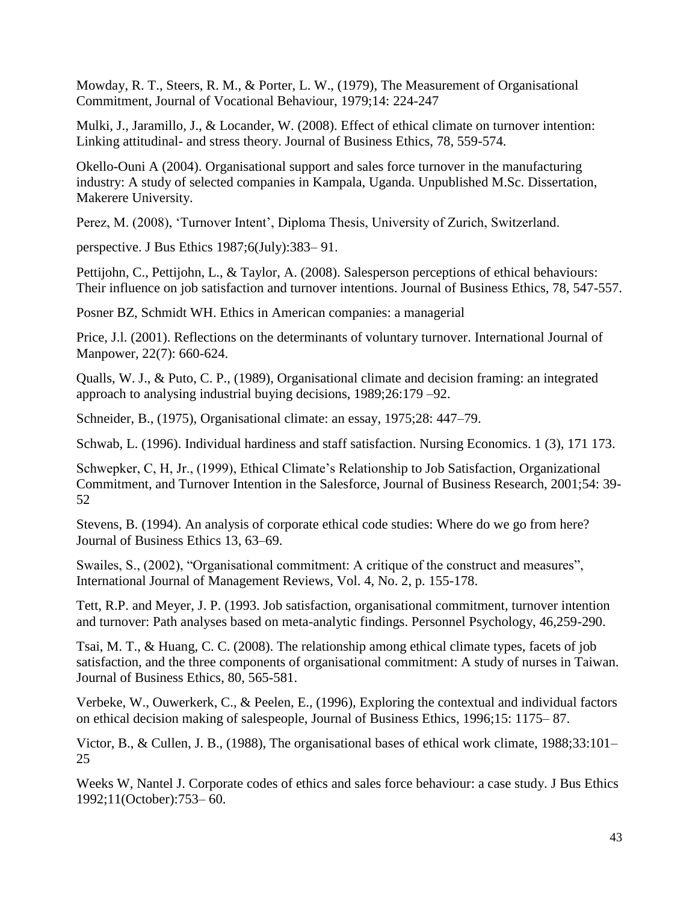Mowday, R. T., Steers, R. M., & Porter, L. W., (1979), The Measurement of Organisational Commitment, Journal of Vocational Behaviour, 1979;14: 224-247

Mulki, J., Jaramillo, J., & Locander, W. (2008). Effect of ethical climate on turnover intention: Linking attitudinal- and stress theory. Journal of Business Ethics, 78, 559-574.

Okello-Ouni A (2004). Organisational support and sales force turnover in the manufacturing industry: A study of selected companies in Kampala, Uganda. Unpublished M.Sc. Dissertation, Makerere University.

Perez, M. (2008), 'Turnover Intent', Diploma Thesis, University of Zurich, Switzerland.

perspective. J Bus Ethics 1987;6(July):383– 91.

Pettijohn, C., Pettijohn, L., & Taylor, A. (2008). Salesperson perceptions of ethical behaviours: Their influence on job satisfaction and turnover intentions. Journal of Business Ethics, 78, 547-557.

Posner BZ, Schmidt WH. Ethics in American companies: a managerial

Price, J.l. (2001). Reflections on the determinants of voluntary turnover. International Journal of Manpower, 22(7): 660-624.

Qualls, W. J., & Puto, C. P., (1989), Organisational climate and decision framing: an integrated approach to analysing industrial buying decisions, 1989;26:179 –92.

Schneider, B., (1975), Organisational climate: an essay, 1975;28: 447–79.

Schwab, L. (1996). Individual hardiness and staff satisfaction. Nursing Economics. 1 (3), 171 173.

Schwepker, C, H, Jr., (1999), Ethical Climate's Relationship to Job Satisfaction, Organizational Commitment, and Turnover Intention in the Salesforce, Journal of Business Research, 2001;54: 39- 52

Stevens, B. (1994). An analysis of corporate ethical code studies: Where do we go from here? Journal of Business Ethics 13, 63–69.

Swailes, S., (2002), "Organisational commitment: A critique of the construct and measures", International Journal of Management Reviews, Vol. 4, No. 2, p. 155-178.

Tett, R.P. and Meyer, J. P. (1993. Job satisfaction, organisational commitment, turnover intention and turnover: Path analyses based on meta-analytic findings. Personnel Psychology, 46,259-290.

Tsai, M. T., & Huang, C. C. (2008). The relationship among ethical climate types, facets of job satisfaction, and the three components of organisational commitment: A study of nurses in Taiwan. Journal of Business Ethics, 80, 565-581.

Verbeke, W., Ouwerkerk, C., & Peelen, E., (1996), Exploring the contextual and individual factors on ethical decision making of salespeople, Journal of Business Ethics, 1996;15: 1175– 87.

Victor, B., & Cullen, J. B., (1988), The organisational bases of ethical work climate, 1988;33:101– 25

Weeks W, Nantel J. Corporate codes of ethics and sales force behaviour: a case study. J Bus Ethics 1992;11(October):753– 60.